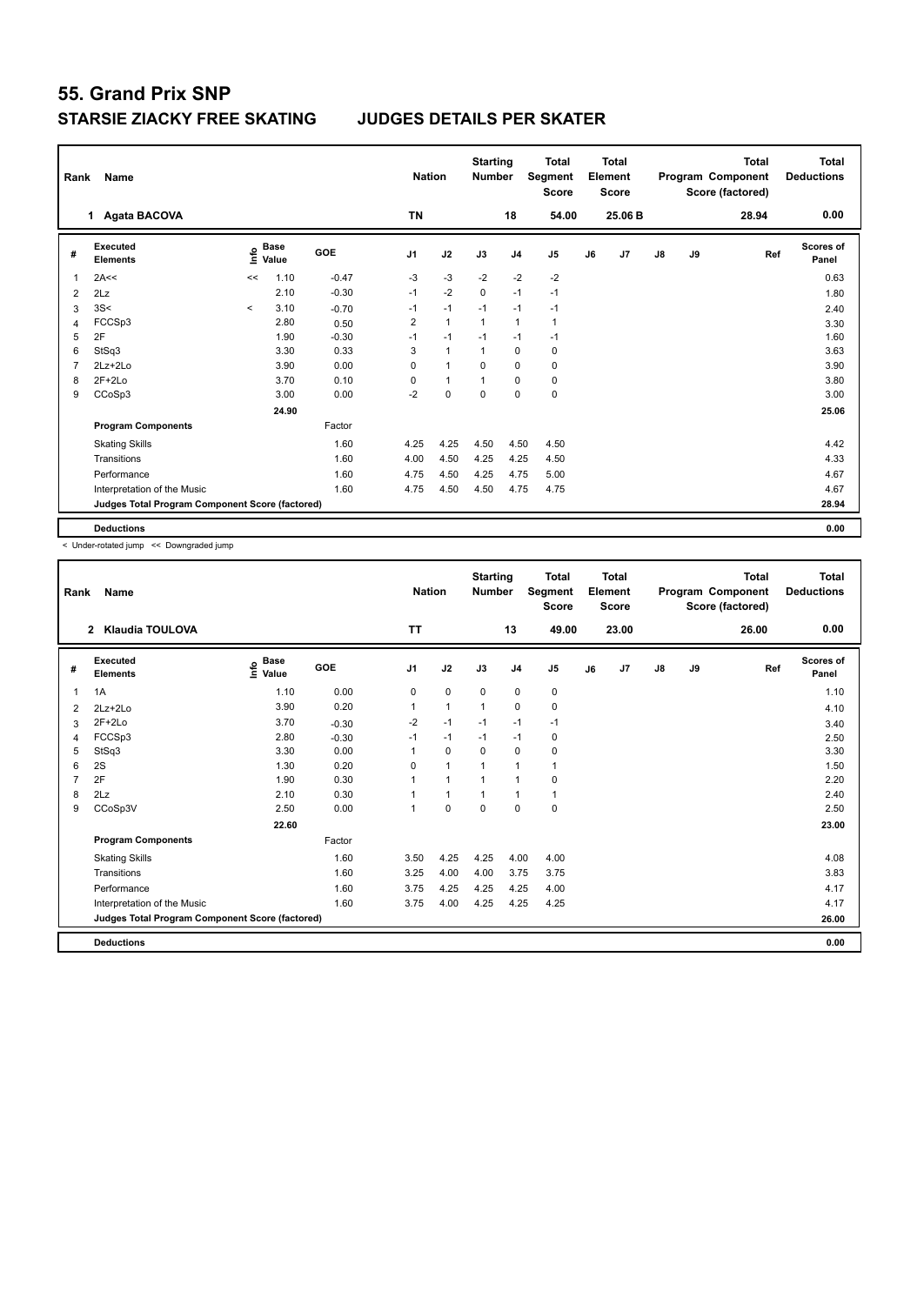| Rank           | Name                                            |             |                      |         | <b>Nation</b>  |                | <b>Starting</b><br><b>Number</b> |                | <b>Total</b><br>Segment<br><b>Score</b> |    | <b>Total</b><br>Element<br><b>Score</b> |               |    | <b>Total</b><br>Program Component<br>Score (factored) | Total<br><b>Deductions</b> |
|----------------|-------------------------------------------------|-------------|----------------------|---------|----------------|----------------|----------------------------------|----------------|-----------------------------------------|----|-----------------------------------------|---------------|----|-------------------------------------------------------|----------------------------|
|                | 1 Agata BACOVA                                  |             |                      |         | <b>TN</b>      |                |                                  | 18             | 54.00                                   |    | 25.06 B                                 |               |    | 28.94                                                 | 0.00                       |
| #              | Executed<br><b>Elements</b>                     | <u>info</u> | <b>Base</b><br>Value | GOE     | J <sub>1</sub> | J2             | J3                               | J <sub>4</sub> | J <sub>5</sub>                          | J6 | J7                                      | $\mathsf{J}8$ | J9 | Ref                                                   | <b>Scores of</b><br>Panel  |
| 1              | 2A<<                                            | <<          | 1.10                 | $-0.47$ | $-3$           | $-3$           | $-2$                             | $-2$           | $-2$                                    |    |                                         |               |    |                                                       | 0.63                       |
| 2              | 2Lz                                             |             | 2.10                 | $-0.30$ | $-1$           | $-2$           | $\mathbf 0$                      | $-1$           | $-1$                                    |    |                                         |               |    |                                                       | 1.80                       |
| 3              | 3S<                                             | $\prec$     | 3.10                 | $-0.70$ | $-1$           | $-1$           | $-1$                             | $-1$           | $-1$                                    |    |                                         |               |    |                                                       | 2.40                       |
| $\overline{4}$ | FCCSp3                                          |             | 2.80                 | 0.50    | 2              | $\overline{1}$ | $\mathbf{1}$                     | $\mathbf{1}$   | $\mathbf{1}$                            |    |                                         |               |    |                                                       | 3.30                       |
| 5              | 2F                                              |             | 1.90                 | $-0.30$ | $-1$           | $-1$           | $-1$                             | $-1$           | $-1$                                    |    |                                         |               |    |                                                       | 1.60                       |
| 6              | StSq3                                           |             | 3.30                 | 0.33    | 3              | $\mathbf{1}$   | $\mathbf{1}$                     | $\mathbf 0$    | 0                                       |    |                                         |               |    |                                                       | 3.63                       |
| $\overline{7}$ | $2Lz+2Lo$                                       |             | 3.90                 | 0.00    | $\Omega$       | $\overline{1}$ | $\Omega$                         | $\mathbf 0$    | $\mathbf 0$                             |    |                                         |               |    |                                                       | 3.90                       |
| 8              | $2F+2Lo$                                        |             | 3.70                 | 0.10    | 0              | $\mathbf{1}$   | $\overline{1}$                   | 0              | 0                                       |    |                                         |               |    |                                                       | 3.80                       |
| 9              | CCoSp3                                          |             | 3.00                 | 0.00    | $-2$           | $\mathbf 0$    | $\pmb{0}$                        | $\mathbf 0$    | $\mathbf 0$                             |    |                                         |               |    |                                                       | 3.00                       |
|                |                                                 |             | 24.90                |         |                |                |                                  |                |                                         |    |                                         |               |    |                                                       | 25.06                      |
|                | <b>Program Components</b>                       |             |                      | Factor  |                |                |                                  |                |                                         |    |                                         |               |    |                                                       |                            |
|                | <b>Skating Skills</b>                           |             |                      | 1.60    | 4.25           | 4.25           | 4.50                             | 4.50           | 4.50                                    |    |                                         |               |    |                                                       | 4.42                       |
|                | Transitions                                     |             |                      | 1.60    | 4.00           | 4.50           | 4.25                             | 4.25           | 4.50                                    |    |                                         |               |    |                                                       | 4.33                       |
|                | Performance                                     |             |                      | 1.60    | 4.75           | 4.50           | 4.25                             | 4.75           | 5.00                                    |    |                                         |               |    |                                                       | 4.67                       |
|                | Interpretation of the Music                     |             |                      | 1.60    | 4.75           | 4.50           | 4.50                             | 4.75           | 4.75                                    |    |                                         |               |    |                                                       | 4.67                       |
|                | Judges Total Program Component Score (factored) |             |                      |         |                |                |                                  |                |                                         |    |                                         |               |    |                                                       | 28.94                      |
|                | <b>Deductions</b>                               |             |                      |         |                |                |                                  |                |                                         |    |                                         |               |    |                                                       | 0.00                       |

< Under-rotated jump << Downgraded jump

| Rank | Name                                            |                                  |         | <b>Nation</b>  |                | <b>Starting</b><br><b>Number</b> |                | Total<br>Segment<br><b>Score</b> |    | <b>Total</b><br>Element<br><b>Score</b> |               |    | <b>Total</b><br>Program Component<br>Score (factored) | Total<br><b>Deductions</b> |
|------|-------------------------------------------------|----------------------------------|---------|----------------|----------------|----------------------------------|----------------|----------------------------------|----|-----------------------------------------|---------------|----|-------------------------------------------------------|----------------------------|
|      | Klaudia TOULOVA<br>$\mathbf{2}$                 |                                  |         | <b>TT</b>      |                |                                  | 13             | 49.00                            |    | 23.00                                   |               |    | 26.00                                                 | 0.00                       |
| #    | Executed<br><b>Elements</b>                     | <b>Base</b><br>e Base<br>⊆ Value | GOE     | J <sub>1</sub> | J2             | J3                               | J <sub>4</sub> | J5                               | J6 | J7                                      | $\mathsf{J}8$ | J9 | Ref                                                   | <b>Scores of</b><br>Panel  |
| 1    | 1A                                              | 1.10                             | 0.00    | 0              | $\mathbf 0$    | $\mathbf 0$                      | $\mathbf 0$    | $\pmb{0}$                        |    |                                         |               |    |                                                       | 1.10                       |
| 2    | $2Lz + 2Lo$                                     | 3.90                             | 0.20    |                | $\mathbf{1}$   | 1                                | 0              | 0                                |    |                                         |               |    |                                                       | 4.10                       |
| 3    | 2F+2Lo                                          | 3.70                             | $-0.30$ | $-2$           | $-1$           | $-1$                             | $-1$           | $-1$                             |    |                                         |               |    |                                                       | 3.40                       |
| 4    | FCCSp3                                          | 2.80                             | $-0.30$ | $-1$           | $-1$           | $-1$                             | $-1$           | 0                                |    |                                         |               |    |                                                       | 2.50                       |
| 5    | StSq3                                           | 3.30                             | 0.00    | 1              | $\mathbf 0$    | $\mathbf 0$                      | $\mathbf 0$    | $\pmb{0}$                        |    |                                         |               |    |                                                       | 3.30                       |
| 6    | 2S                                              | 1.30                             | 0.20    | $\Omega$       | $\overline{1}$ |                                  | 1              | 1                                |    |                                         |               |    |                                                       | 1.50                       |
|      | 2F                                              | 1.90                             | 0.30    |                | $\overline{1}$ | 1                                | $\mathbf{1}$   | 0                                |    |                                         |               |    |                                                       | 2.20                       |
| 8    | 2Lz                                             | 2.10                             | 0.30    |                | $\mathbf{1}$   |                                  | $\mathbf{1}$   | $\mathbf{1}$                     |    |                                         |               |    |                                                       | 2.40                       |
| 9    | CCoSp3V                                         | 2.50                             | 0.00    | 1              | $\mathbf 0$    | $\mathbf 0$                      | $\mathbf 0$    | $\mathbf 0$                      |    |                                         |               |    |                                                       | 2.50                       |
|      |                                                 | 22.60                            |         |                |                |                                  |                |                                  |    |                                         |               |    |                                                       | 23.00                      |
|      | <b>Program Components</b>                       |                                  | Factor  |                |                |                                  |                |                                  |    |                                         |               |    |                                                       |                            |
|      | <b>Skating Skills</b>                           |                                  | 1.60    | 3.50           | 4.25           | 4.25                             | 4.00           | 4.00                             |    |                                         |               |    |                                                       | 4.08                       |
|      | Transitions                                     |                                  | 1.60    | 3.25           | 4.00           | 4.00                             | 3.75           | 3.75                             |    |                                         |               |    |                                                       | 3.83                       |
|      | Performance                                     |                                  | 1.60    | 3.75           | 4.25           | 4.25                             | 4.25           | 4.00                             |    |                                         |               |    |                                                       | 4.17                       |
|      | Interpretation of the Music                     |                                  | 1.60    | 3.75           | 4.00           | 4.25                             | 4.25           | 4.25                             |    |                                         |               |    |                                                       | 4.17                       |
|      | Judges Total Program Component Score (factored) |                                  |         |                |                |                                  |                |                                  |    |                                         |               |    |                                                       | 26.00                      |
|      | <b>Deductions</b>                               |                                  |         |                |                |                                  |                |                                  |    |                                         |               |    |                                                       | 0.00                       |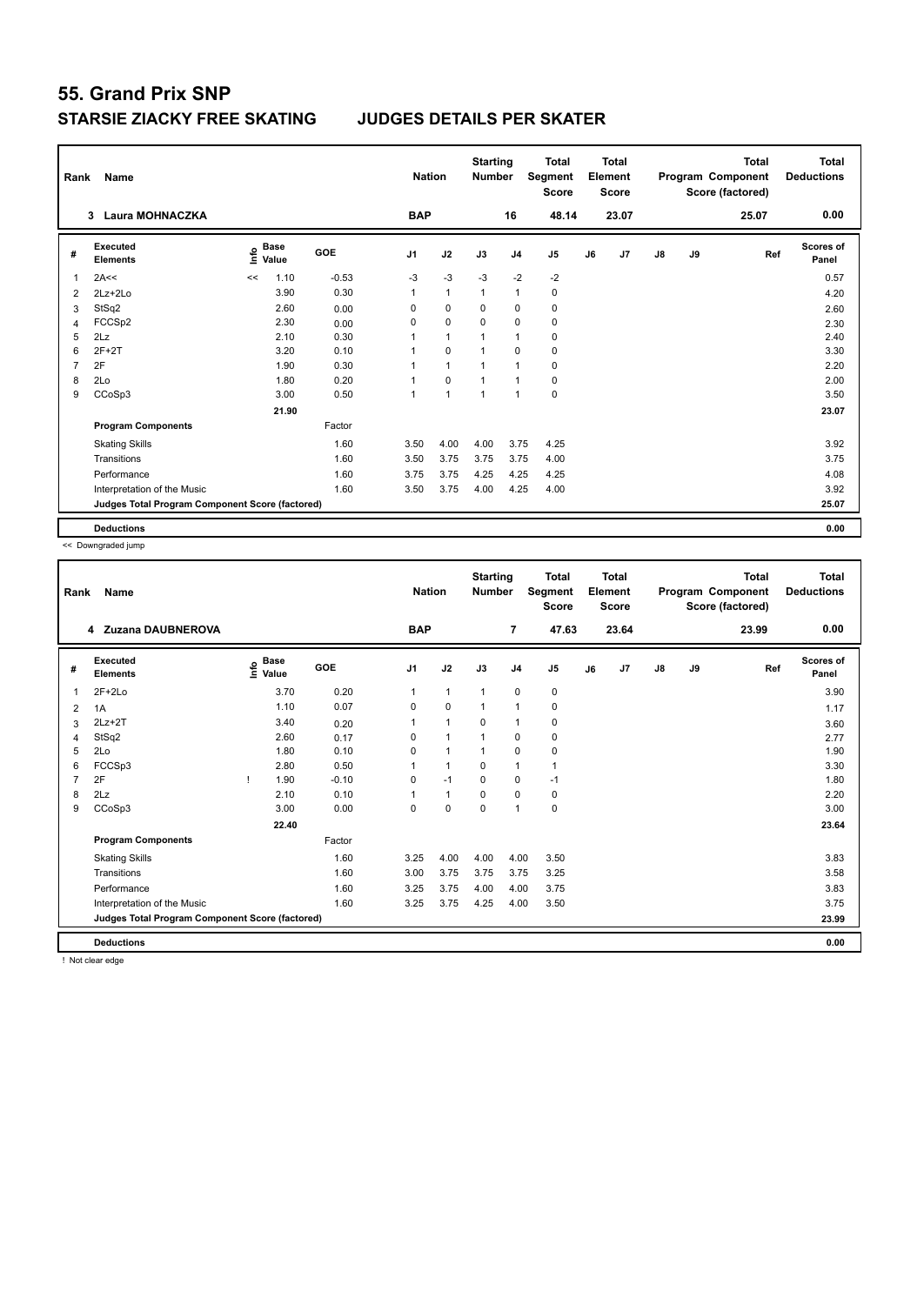| Rank           | Name                                            |             |                      |            | <b>Nation</b>  |                | <b>Starting</b><br><b>Number</b> |                | <b>Total</b><br>Segment<br><b>Score</b> |    | <b>Total</b><br>Element<br><b>Score</b> |               |    | <b>Total</b><br>Program Component<br>Score (factored) | Total<br><b>Deductions</b> |
|----------------|-------------------------------------------------|-------------|----------------------|------------|----------------|----------------|----------------------------------|----------------|-----------------------------------------|----|-----------------------------------------|---------------|----|-------------------------------------------------------|----------------------------|
|                | <b>Laura MOHNACZKA</b><br>3                     |             |                      |            | <b>BAP</b>     |                |                                  | 16             | 48.14                                   |    | 23.07                                   |               |    | 25.07                                                 | 0.00                       |
| #              | Executed<br><b>Elements</b>                     | <u>info</u> | <b>Base</b><br>Value | <b>GOE</b> | J <sub>1</sub> | J2             | J3                               | J <sub>4</sub> | J <sub>5</sub>                          | J6 | J7                                      | $\mathsf{J}8$ | J9 | Ref                                                   | <b>Scores of</b><br>Panel  |
| 1              | 2A<<                                            | <<          | 1.10                 | $-0.53$    | $-3$           | $-3$           | $-3$                             | $-2$           | $-2$                                    |    |                                         |               |    |                                                       | 0.57                       |
| 2              | $2Lz+2Lo$                                       |             | 3.90                 | 0.30       | 1              | $\overline{1}$ | $\overline{1}$                   | $\mathbf{1}$   | 0                                       |    |                                         |               |    |                                                       | 4.20                       |
| 3              | StSq2                                           |             | 2.60                 | 0.00       | 0              | $\mathbf 0$    | $\Omega$                         | 0              | 0                                       |    |                                         |               |    |                                                       | 2.60                       |
| 4              | FCCSp2                                          |             | 2.30                 | 0.00       | 0              | $\mathbf 0$    | $\Omega$                         | $\mathbf 0$    | $\mathbf 0$                             |    |                                         |               |    |                                                       | 2.30                       |
| 5              | 2Lz                                             |             | 2.10                 | 0.30       |                | $\overline{1}$ | $\overline{1}$                   | $\mathbf{1}$   | 0                                       |    |                                         |               |    |                                                       | 2.40                       |
| 6              | $2F+2T$                                         |             | 3.20                 | 0.10       |                | $\mathbf 0$    | $\overline{1}$                   | $\mathbf 0$    | 0                                       |    |                                         |               |    |                                                       | 3.30                       |
| $\overline{7}$ | 2F                                              |             | 1.90                 | 0.30       |                | $\overline{1}$ | $\overline{ }$                   | $\overline{1}$ | $\mathbf 0$                             |    |                                         |               |    |                                                       | 2.20                       |
| 8              | 2Lo                                             |             | 1.80                 | 0.20       |                | 0              | -1                               | $\overline{1}$ | 0                                       |    |                                         |               |    |                                                       | 2.00                       |
| 9              | CCoSp3                                          |             | 3.00                 | 0.50       | 1              | $\overline{1}$ | $\overline{1}$                   | $\mathbf{1}$   | $\mathbf 0$                             |    |                                         |               |    |                                                       | 3.50                       |
|                |                                                 |             | 21.90                |            |                |                |                                  |                |                                         |    |                                         |               |    |                                                       | 23.07                      |
|                | <b>Program Components</b>                       |             |                      | Factor     |                |                |                                  |                |                                         |    |                                         |               |    |                                                       |                            |
|                | <b>Skating Skills</b>                           |             |                      | 1.60       | 3.50           | 4.00           | 4.00                             | 3.75           | 4.25                                    |    |                                         |               |    |                                                       | 3.92                       |
|                | Transitions                                     |             |                      | 1.60       | 3.50           | 3.75           | 3.75                             | 3.75           | 4.00                                    |    |                                         |               |    |                                                       | 3.75                       |
|                | Performance                                     |             |                      | 1.60       | 3.75           | 3.75           | 4.25                             | 4.25           | 4.25                                    |    |                                         |               |    |                                                       | 4.08                       |
|                | Interpretation of the Music                     |             |                      | 1.60       | 3.50           | 3.75           | 4.00                             | 4.25           | 4.00                                    |    |                                         |               |    |                                                       | 3.92                       |
|                | Judges Total Program Component Score (factored) |             |                      |            |                |                |                                  |                |                                         |    |                                         |               |    |                                                       | 25.07                      |
|                | <b>Deductions</b>                               |             |                      |            |                |                |                                  |                |                                         |    |                                         |               |    |                                                       | 0.00                       |

<< Downgraded jump

| Rank           | <b>Name</b>                                     |                                    |         | <b>Nation</b>  |                | <b>Starting</b><br><b>Number</b> |                | <b>Total</b><br>Segment<br><b>Score</b> |    | <b>Total</b><br>Element<br><b>Score</b> |               |    | <b>Total</b><br>Program Component<br>Score (factored) | <b>Total</b><br><b>Deductions</b> |
|----------------|-------------------------------------------------|------------------------------------|---------|----------------|----------------|----------------------------------|----------------|-----------------------------------------|----|-----------------------------------------|---------------|----|-------------------------------------------------------|-----------------------------------|
|                | 4 Zuzana DAUBNEROVA                             |                                    |         | <b>BAP</b>     |                |                                  | 7              | 47.63                                   |    | 23.64                                   |               |    | 23.99                                                 | 0.00                              |
| #              | Executed<br><b>Elements</b>                     | <b>Base</b><br>$\frac{6}{5}$ Value | GOE     | J <sub>1</sub> | J2             | J3                               | J <sub>4</sub> | J <sub>5</sub>                          | J6 | J7                                      | $\mathsf{J}8$ | J9 | Ref                                                   | Scores of<br>Panel                |
| 1              | $2F+2Lo$                                        | 3.70                               | 0.20    | 1              | $\overline{1}$ | $\overline{1}$                   | 0              | 0                                       |    |                                         |               |    |                                                       | 3.90                              |
| 2              | 1A                                              | 1.10                               | 0.07    | 0              | $\mathbf 0$    |                                  | $\overline{1}$ | $\pmb{0}$                               |    |                                         |               |    |                                                       | 1.17                              |
| 3              | $2Lz+2T$                                        | 3.40                               | 0.20    | 1              | $\overline{1}$ | 0                                | $\overline{1}$ | $\pmb{0}$                               |    |                                         |               |    |                                                       | 3.60                              |
| 4              | StSq2                                           | 2.60                               | 0.17    | 0              | $\overline{1}$ | 1                                | 0              | 0                                       |    |                                         |               |    |                                                       | 2.77                              |
| 5              | 2Lo                                             | 1.80                               | 0.10    | $\mathbf 0$    | $\overline{1}$ |                                  | $\mathbf 0$    | $\pmb{0}$                               |    |                                         |               |    |                                                       | 1.90                              |
| 6              | FCCSp3                                          | 2.80                               | 0.50    | 1              | $\overline{1}$ | $\Omega$                         | $\mathbf 1$    | 1                                       |    |                                         |               |    |                                                       | 3.30                              |
| $\overline{7}$ | 2F                                              | 1.90                               | $-0.10$ | 0              | $-1$           | 0                                | 0              | $-1$                                    |    |                                         |               |    |                                                       | 1.80                              |
| 8              | 2Lz                                             | 2.10                               | 0.10    | 1              | $\overline{1}$ | $\Omega$                         | 0              | 0                                       |    |                                         |               |    |                                                       | 2.20                              |
| 9              | CCoSp3                                          | 3.00                               | 0.00    | 0              | $\mathbf 0$    | $\mathbf 0$                      | $\overline{1}$ | $\mathbf 0$                             |    |                                         |               |    |                                                       | 3.00                              |
|                |                                                 | 22.40                              |         |                |                |                                  |                |                                         |    |                                         |               |    |                                                       | 23.64                             |
|                | <b>Program Components</b>                       |                                    | Factor  |                |                |                                  |                |                                         |    |                                         |               |    |                                                       |                                   |
|                | <b>Skating Skills</b>                           |                                    | 1.60    | 3.25           | 4.00           | 4.00                             | 4.00           | 3.50                                    |    |                                         |               |    |                                                       | 3.83                              |
|                | Transitions                                     |                                    | 1.60    | 3.00           | 3.75           | 3.75                             | 3.75           | 3.25                                    |    |                                         |               |    |                                                       | 3.58                              |
|                | Performance                                     |                                    | 1.60    | 3.25           | 3.75           | 4.00                             | 4.00           | 3.75                                    |    |                                         |               |    |                                                       | 3.83                              |
|                | Interpretation of the Music                     |                                    | 1.60    | 3.25           | 3.75           | 4.25                             | 4.00           | 3.50                                    |    |                                         |               |    |                                                       | 3.75                              |
|                | Judges Total Program Component Score (factored) |                                    |         |                |                |                                  |                |                                         |    |                                         |               |    |                                                       | 23.99                             |
|                | <b>Deductions</b>                               |                                    |         |                |                |                                  |                |                                         |    |                                         |               |    |                                                       | 0.00                              |

! Not clear edge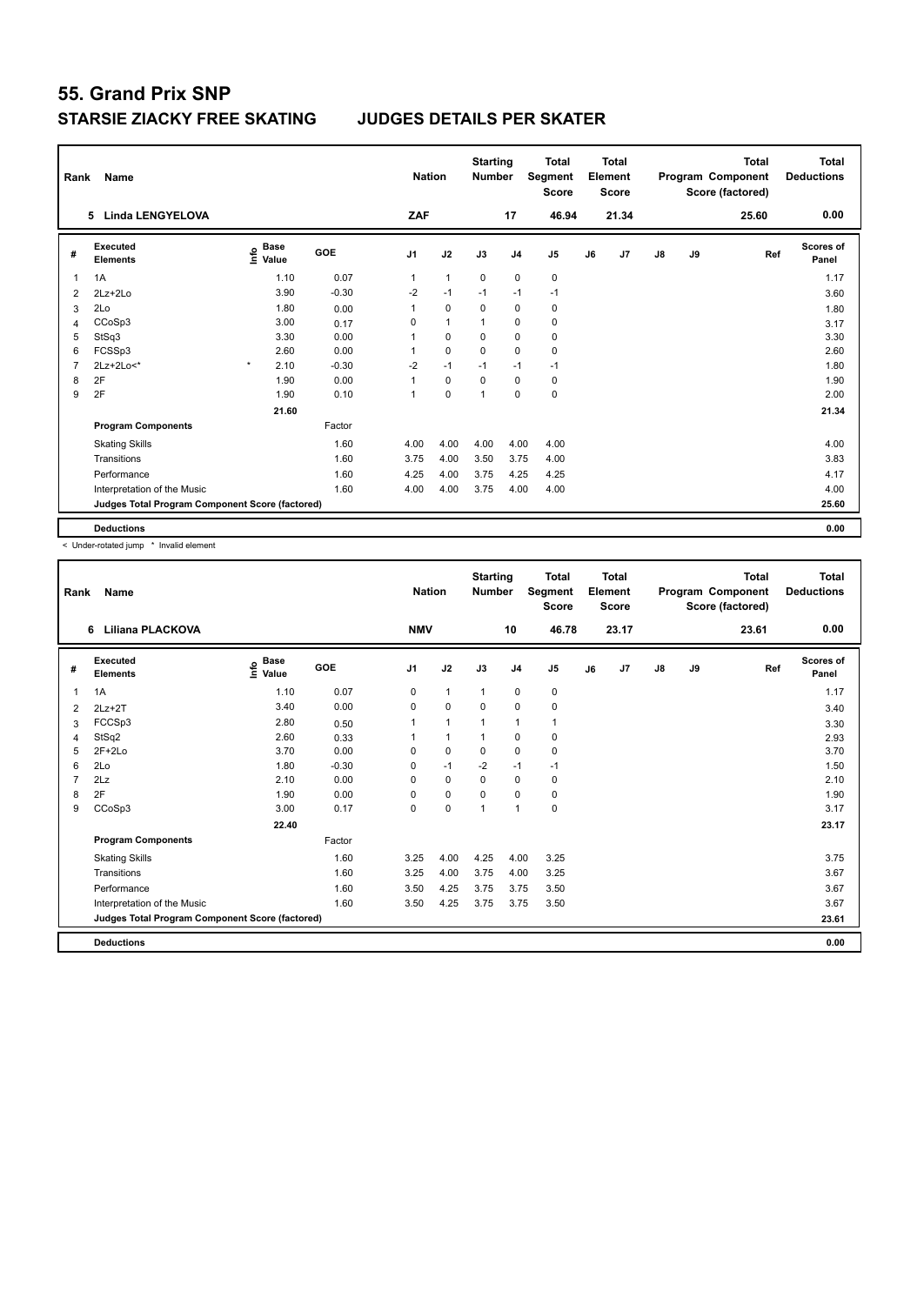| Rank           | Name                                            |                              |       |            | <b>Nation</b>  |                | <b>Starting</b><br><b>Number</b> |                | <b>Total</b><br>Segment<br><b>Score</b> |    | <b>Total</b><br>Element<br><b>Score</b> |               |    | <b>Total</b><br>Program Component<br>Score (factored) | Total<br><b>Deductions</b> |
|----------------|-------------------------------------------------|------------------------------|-------|------------|----------------|----------------|----------------------------------|----------------|-----------------------------------------|----|-----------------------------------------|---------------|----|-------------------------------------------------------|----------------------------|
|                | <b>Linda LENGYELOVA</b><br>5                    |                              |       |            | ZAF            |                |                                  | 17             | 46.94                                   |    | 21.34                                   |               |    | 25.60                                                 | 0.00                       |
| #              | Executed<br><b>Elements</b>                     | <b>Base</b><br>info<br>Value |       | <b>GOE</b> | J <sub>1</sub> | J2             | J3                               | J <sub>4</sub> | J <sub>5</sub>                          | J6 | J7                                      | $\mathsf{J}8$ | J9 | Ref                                                   | <b>Scores of</b><br>Panel  |
| 1              | 1A                                              |                              | 1.10  | 0.07       | 1              | $\overline{1}$ | $\mathbf 0$                      | $\mathbf 0$    | $\mathbf 0$                             |    |                                         |               |    |                                                       | 1.17                       |
| 2              | $2Lz+2Lo$                                       |                              | 3.90  | $-0.30$    | $-2$           | $-1$           | $-1$                             | $-1$           | $-1$                                    |    |                                         |               |    |                                                       | 3.60                       |
| 3              | 2Lo                                             |                              | 1.80  | 0.00       |                | $\Omega$       | $\Omega$                         | $\mathbf 0$    | 0                                       |    |                                         |               |    |                                                       | 1.80                       |
| 4              | CCoSp3                                          |                              | 3.00  | 0.17       | 0              | $\overline{1}$ | $\overline{1}$                   | $\mathbf 0$    | $\mathbf 0$                             |    |                                         |               |    |                                                       | 3.17                       |
| 5              | StSq3                                           |                              | 3.30  | 0.00       | 1              | $\mathbf 0$    | 0                                | $\mathbf 0$    | 0                                       |    |                                         |               |    |                                                       | 3.30                       |
| 6              | FCSSp3                                          |                              | 2.60  | 0.00       | 1              | $\mathbf 0$    | $\mathbf 0$                      | $\mathbf 0$    | $\mathbf 0$                             |    |                                         |               |    |                                                       | 2.60                       |
| $\overline{7}$ | 2Lz+2Lo<*                                       | $\pmb{\ast}$                 | 2.10  | $-0.30$    | $-2$           | $-1$           | $-1$                             | $-1$           | $-1$                                    |    |                                         |               |    |                                                       | 1.80                       |
| 8              | 2F                                              |                              | 1.90  | 0.00       | 1              | $\mathbf 0$    | $\Omega$                         | 0              | 0                                       |    |                                         |               |    |                                                       | 1.90                       |
| 9              | 2F                                              |                              | 1.90  | 0.10       | 1              | $\mathbf 0$    | $\overline{1}$                   | $\mathbf 0$    | $\mathbf 0$                             |    |                                         |               |    |                                                       | 2.00                       |
|                |                                                 |                              | 21.60 |            |                |                |                                  |                |                                         |    |                                         |               |    |                                                       | 21.34                      |
|                | <b>Program Components</b>                       |                              |       | Factor     |                |                |                                  |                |                                         |    |                                         |               |    |                                                       |                            |
|                | <b>Skating Skills</b>                           |                              |       | 1.60       | 4.00           | 4.00           | 4.00                             | 4.00           | 4.00                                    |    |                                         |               |    |                                                       | 4.00                       |
|                | Transitions                                     |                              |       | 1.60       | 3.75           | 4.00           | 3.50                             | 3.75           | 4.00                                    |    |                                         |               |    |                                                       | 3.83                       |
|                | Performance                                     |                              |       | 1.60       | 4.25           | 4.00           | 3.75                             | 4.25           | 4.25                                    |    |                                         |               |    |                                                       | 4.17                       |
|                | Interpretation of the Music                     |                              |       | 1.60       | 4.00           | 4.00           | 3.75                             | 4.00           | 4.00                                    |    |                                         |               |    |                                                       | 4.00                       |
|                | Judges Total Program Component Score (factored) |                              |       |            |                |                |                                  |                |                                         |    |                                         |               |    |                                                       | 25.60                      |
|                | <b>Deductions</b>                               |                              |       |            |                |                |                                  |                |                                         |    |                                         |               |    |                                                       | 0.00                       |

< Under-rotated jump \* Invalid element

| Rank           | <b>Name</b>                                     |                             |         | <b>Nation</b>  |                | <b>Starting</b><br><b>Number</b> |                | <b>Total</b><br>Segment<br><b>Score</b> |    | <b>Total</b><br>Element<br><b>Score</b> |               |    | <b>Total</b><br>Program Component<br>Score (factored) | <b>Total</b><br><b>Deductions</b> |
|----------------|-------------------------------------------------|-----------------------------|---------|----------------|----------------|----------------------------------|----------------|-----------------------------------------|----|-----------------------------------------|---------------|----|-------------------------------------------------------|-----------------------------------|
|                | <b>Liliana PLACKOVA</b><br>6                    |                             |         | <b>NMV</b>     |                |                                  | 10             | 46.78                                   |    | 23.17                                   |               |    | 23.61                                                 | 0.00                              |
| #              | Executed<br><b>Elements</b>                     | Base<br>$\frac{6}{5}$ Value | GOE     | J <sub>1</sub> | J2             | J3                               | J <sub>4</sub> | J <sub>5</sub>                          | J6 | J7                                      | $\mathsf{J}8$ | J9 | Ref                                                   | <b>Scores of</b><br>Panel         |
| 1              | 1A                                              | 1.10                        | 0.07    | 0              | $\mathbf{1}$   | $\mathbf{1}$                     | 0              | 0                                       |    |                                         |               |    |                                                       | 1.17                              |
| 2              | $2Lz+2T$                                        | 3.40                        | 0.00    | 0              | $\mathbf 0$    | 0                                | $\mathbf 0$    | $\mathbf 0$                             |    |                                         |               |    |                                                       | 3.40                              |
| 3              | FCCSp3                                          | 2.80                        | 0.50    |                | $\overline{1}$ |                                  | $\mathbf{1}$   | $\mathbf{1}$                            |    |                                         |               |    |                                                       | 3.30                              |
| 4              | StSq2                                           | 2.60                        | 0.33    |                | $\mathbf{1}$   |                                  | 0              | 0                                       |    |                                         |               |    |                                                       | 2.93                              |
| 5              | $2F+2Lo$                                        | 3.70                        | 0.00    | 0              | $\pmb{0}$      | $\mathbf 0$                      | $\mathbf 0$    | $\mathbf 0$                             |    |                                         |               |    |                                                       | 3.70                              |
| 6              | 2Lo                                             | 1.80                        | $-0.30$ | 0              | $-1$           | $-2$                             | $-1$           | $-1$                                    |    |                                         |               |    |                                                       | 1.50                              |
| $\overline{7}$ | 2Lz                                             | 2.10                        | 0.00    | 0              | $\mathbf 0$    | 0                                | $\mathbf 0$    | 0                                       |    |                                         |               |    |                                                       | 2.10                              |
| 8              | 2F                                              | 1.90                        | 0.00    | 0              | $\mathbf 0$    | 0                                | 0              | 0                                       |    |                                         |               |    |                                                       | 1.90                              |
| 9              | CCoSp3                                          | 3.00                        | 0.17    | 0              | $\mathbf 0$    | 1                                | $\overline{1}$ | $\mathbf 0$                             |    |                                         |               |    |                                                       | 3.17                              |
|                |                                                 | 22.40                       |         |                |                |                                  |                |                                         |    |                                         |               |    |                                                       | 23.17                             |
|                | <b>Program Components</b>                       |                             | Factor  |                |                |                                  |                |                                         |    |                                         |               |    |                                                       |                                   |
|                | <b>Skating Skills</b>                           |                             | 1.60    | 3.25           | 4.00           | 4.25                             | 4.00           | 3.25                                    |    |                                         |               |    |                                                       | 3.75                              |
|                | Transitions                                     |                             | 1.60    | 3.25           | 4.00           | 3.75                             | 4.00           | 3.25                                    |    |                                         |               |    |                                                       | 3.67                              |
|                | Performance                                     |                             | 1.60    | 3.50           | 4.25           | 3.75                             | 3.75           | 3.50                                    |    |                                         |               |    |                                                       | 3.67                              |
|                | Interpretation of the Music                     |                             | 1.60    | 3.50           | 4.25           | 3.75                             | 3.75           | 3.50                                    |    |                                         |               |    |                                                       | 3.67                              |
|                | Judges Total Program Component Score (factored) |                             |         |                |                |                                  |                |                                         |    |                                         |               |    |                                                       | 23.61                             |
|                | <b>Deductions</b>                               |                             |         |                |                |                                  |                |                                         |    |                                         |               |    |                                                       | 0.00                              |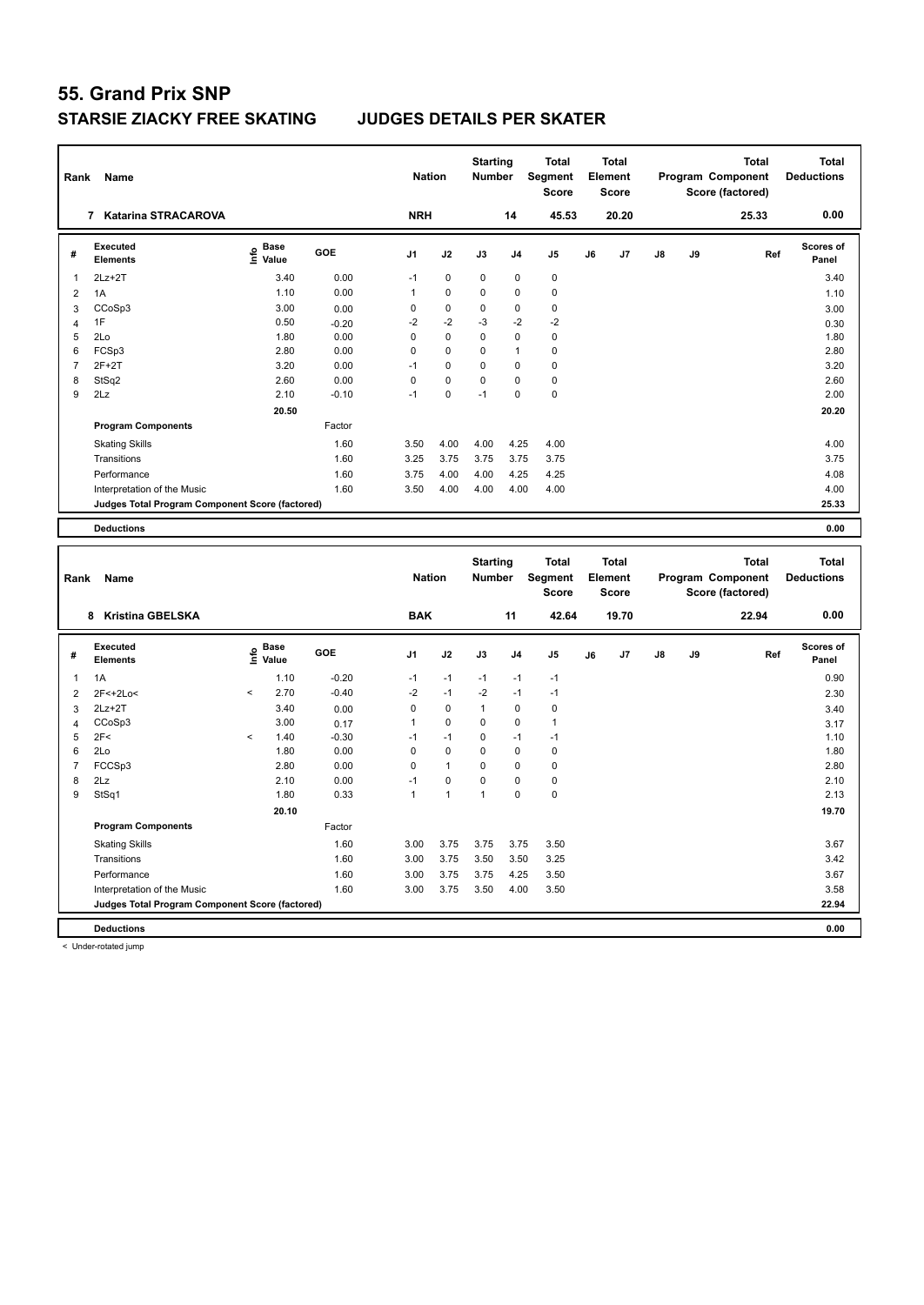| Rank           | Name                                            |                                           |              | <b>Nation</b>  |              | <b>Starting</b><br>Number |                | <b>Total</b><br>Segment<br><b>Score</b> |    | <b>Total</b><br>Element<br><b>Score</b> |    |    | <b>Total</b><br>Program Component<br>Score (factored) | <b>Total</b><br><b>Deductions</b> |
|----------------|-------------------------------------------------|-------------------------------------------|--------------|----------------|--------------|---------------------------|----------------|-----------------------------------------|----|-----------------------------------------|----|----|-------------------------------------------------------|-----------------------------------|
|                | 7 Katarina STRACAROVA                           |                                           |              | <b>NRH</b>     |              |                           | 14             | 45.53                                   |    | 20.20                                   |    |    | 25.33                                                 | 0.00                              |
| #              | <b>Executed</b><br><b>Elements</b>              | $\frac{e}{E}$ Base<br>$\frac{e}{E}$ Value | GOE          | J <sub>1</sub> | J2           | J3                        | J <sub>4</sub> | J5                                      | J6 | J7                                      | J8 | J9 | Ref                                                   | <b>Scores of</b><br>Panel         |
| 1              | $2Lz + 2T$                                      | 3.40                                      | 0.00         | $-1$           | $\pmb{0}$    | 0                         | $\pmb{0}$      | $\mathbf 0$                             |    |                                         |    |    |                                                       | 3.40                              |
| $\overline{2}$ | 1A                                              | 1.10                                      | 0.00         | 1              | $\pmb{0}$    | 0                         | $\pmb{0}$      | $\pmb{0}$                               |    |                                         |    |    |                                                       | 1.10                              |
| 3              | CCoSp3                                          | 3.00                                      | 0.00         | 0              | $\pmb{0}$    | 0                         | $\pmb{0}$      | $\pmb{0}$                               |    |                                         |    |    |                                                       | 3.00                              |
| $\overline{4}$ | 1F                                              | 0.50                                      | $-0.20$      | $-2$           | $-2$         | $-3$                      | $-2$           | $-2$                                    |    |                                         |    |    |                                                       | 0.30                              |
| 5              | 2Lo                                             | 1.80                                      | 0.00         | 0              | $\mathbf 0$  | 0                         | $\mathbf 0$    | $\mathbf 0$                             |    |                                         |    |    |                                                       | 1.80                              |
| 6              | FCSp3                                           | 2.80                                      | 0.00         | 0              | $\mathbf 0$  | 0                         | $\overline{1}$ | $\pmb{0}$                               |    |                                         |    |    |                                                       | 2.80                              |
| $\overline{7}$ | $2F+2T$                                         | 3.20                                      | 0.00         | $-1$           | $\pmb{0}$    | 0                         | $\mathbf 0$    | $\mathbf 0$                             |    |                                         |    |    |                                                       | 3.20                              |
| 8              | StSq2                                           | 2.60                                      | 0.00         | 0              | $\pmb{0}$    | 0                         | $\mathbf 0$    | $\pmb{0}$                               |    |                                         |    |    |                                                       | 2.60                              |
| 9              | 2Lz                                             | 2.10                                      | $-0.10$      | $-1$           | 0            | $-1$                      | $\mathbf 0$    | $\mathbf 0$                             |    |                                         |    |    |                                                       | 2.00                              |
|                |                                                 | 20.50                                     |              |                |              |                           |                |                                         |    |                                         |    |    |                                                       | 20.20                             |
|                | <b>Program Components</b>                       |                                           | Factor       |                |              |                           |                |                                         |    |                                         |    |    |                                                       |                                   |
|                | <b>Skating Skills</b>                           |                                           | 1.60         | 3.50           | 4.00         | 4.00                      | 4.25           | 4.00                                    |    |                                         |    |    |                                                       | 4.00                              |
|                | Transitions                                     |                                           | 1.60         | 3.25           | 3.75         | 3.75                      | 3.75           | 3.75                                    |    |                                         |    |    |                                                       | 3.75                              |
|                | Performance                                     |                                           | 1.60         | 3.75           | 4.00         | 4.00                      | 4.25           | 4.25                                    |    |                                         |    |    |                                                       | 4.08                              |
|                | Interpretation of the Music                     |                                           | 1.60         | 3.50           | 4.00         | 4.00                      | 4.00           | 4.00                                    |    |                                         |    |    |                                                       | 4.00                              |
|                | Judges Total Program Component Score (factored) |                                           |              |                |              |                           |                |                                         |    |                                         |    |    |                                                       | 25.33                             |
|                | <b>Deductions</b>                               |                                           |              |                |              |                           |                |                                         |    |                                         |    |    |                                                       | 0.00                              |
|                |                                                 |                                           |              |                |              |                           |                |                                         |    |                                         |    |    |                                                       |                                   |
|                |                                                 |                                           |              |                |              |                           |                |                                         |    |                                         |    |    |                                                       |                                   |
|                |                                                 |                                           |              |                |              | <b>Starting</b>           |                | <b>Total</b>                            |    | <b>Total</b>                            |    |    | <b>Total</b>                                          | <b>Total</b>                      |
| Rank           | Name                                            |                                           |              | <b>Nation</b>  |              | Number                    |                | Segment                                 |    | Element                                 |    |    | Program Component                                     | <b>Deductions</b>                 |
|                |                                                 |                                           |              |                |              |                           |                | <b>Score</b>                            |    | <b>Score</b>                            |    |    | Score (factored)                                      |                                   |
|                | 8 Kristina GBELSKA                              |                                           |              | <b>BAK</b>     |              |                           | 11             | 42.64                                   |    | 19.70                                   |    |    | 22.94                                                 | 0.00                              |
|                |                                                 |                                           |              |                |              |                           |                |                                         |    |                                         |    |    |                                                       |                                   |
| #              | <b>Executed</b><br>Elements                     | Base<br>e Base<br>⊆ Value                 | GOE          | J1             | J2           | J3                        | J4             | J5                                      | J6 | J7                                      | J8 | J9 | Ref                                                   | Scores of<br>Panel                |
| $\mathbf{1}$   | 1A                                              | 1.10                                      | $-0.20$      | $-1$           | $-1$         | $-1$                      | $-1$           | $-1$                                    |    |                                         |    |    |                                                       | 0.90                              |
| $\overline{2}$ | 2F<+2Lo<                                        | 2.70<br><                                 | $-0.40$      | $-2$           | $-1$         | $-2$                      | $-1$           | $-1$                                    |    |                                         |    |    |                                                       |                                   |
|                | $2Lz+2T$                                        | 3.40                                      |              | 0              | $\pmb{0}$    | $\mathbf{1}$              | $\pmb{0}$      | $\mathbf 0$                             |    |                                         |    |    |                                                       | 2.30                              |
| 3<br>4         | CCoSp3                                          | 3.00                                      | 0.00<br>0.17 | $\mathbf{1}$   | 0            | 0                         | $\mathbf 0$    | $\mathbf{1}$                            |    |                                         |    |    |                                                       | 3.40<br>3.17                      |
| 5              | 2F<                                             | 1.40<br>$\overline{\phantom{a}}$          | $-0.30$      | $-1$           | $-1$         | 0                         | $-1$           | $-1$                                    |    |                                         |    |    |                                                       | 1.10                              |
| 6              | 2Lo                                             | 1.80                                      | 0.00         | 0              | $\mathbf 0$  | 0                         | $\mathbf 0$    | $\mathbf 0$                             |    |                                         |    |    |                                                       | 1.80                              |
| $\overline{7}$ | FCCSp3                                          | 2.80                                      | 0.00         | 0              | $\mathbf{1}$ | 0                         | $\pmb{0}$      | $\pmb{0}$                               |    |                                         |    |    |                                                       | 2.80                              |
| 8              | 2Lz                                             | 2.10                                      | 0.00         | $-1$           | 0            | 0                         | $\mathbf 0$    | $\pmb{0}$                               |    |                                         |    |    |                                                       | 2.10                              |
| 9              | StSq1                                           | 1.80                                      | 0.33         | $\mathbf{1}$   | $\mathbf{1}$ | $\mathbf{1}$              | $\pmb{0}$      | $\pmb{0}$                               |    |                                         |    |    |                                                       | 2.13                              |
|                |                                                 | 20.10                                     |              |                |              |                           |                |                                         |    |                                         |    |    |                                                       | 19.70                             |
|                | <b>Program Components</b>                       |                                           | Factor       |                |              |                           |                |                                         |    |                                         |    |    |                                                       |                                   |
|                | <b>Skating Skills</b>                           |                                           | 1.60         | 3.00           | 3.75         | 3.75                      | 3.75           | 3.50                                    |    |                                         |    |    |                                                       | 3.67                              |
|                | Transitions                                     |                                           | 1.60         | 3.00           | 3.75         | 3.50                      | 3.50           | 3.25                                    |    |                                         |    |    |                                                       | 3.42                              |
|                | Performance                                     |                                           | 1.60         | 3.00           | 3.75         | 3.75                      | 4.25           | 3.50                                    |    |                                         |    |    |                                                       | 3.67                              |
|                | Interpretation of the Music                     |                                           | 1.60         | 3.00           | 3.75         | 3.50                      | 4.00           | 3.50                                    |    |                                         |    |    |                                                       | 3.58                              |
|                | Judges Total Program Component Score (factored) |                                           |              |                |              |                           |                |                                         |    |                                         |    |    |                                                       | 22.94                             |

< Under-rotated jump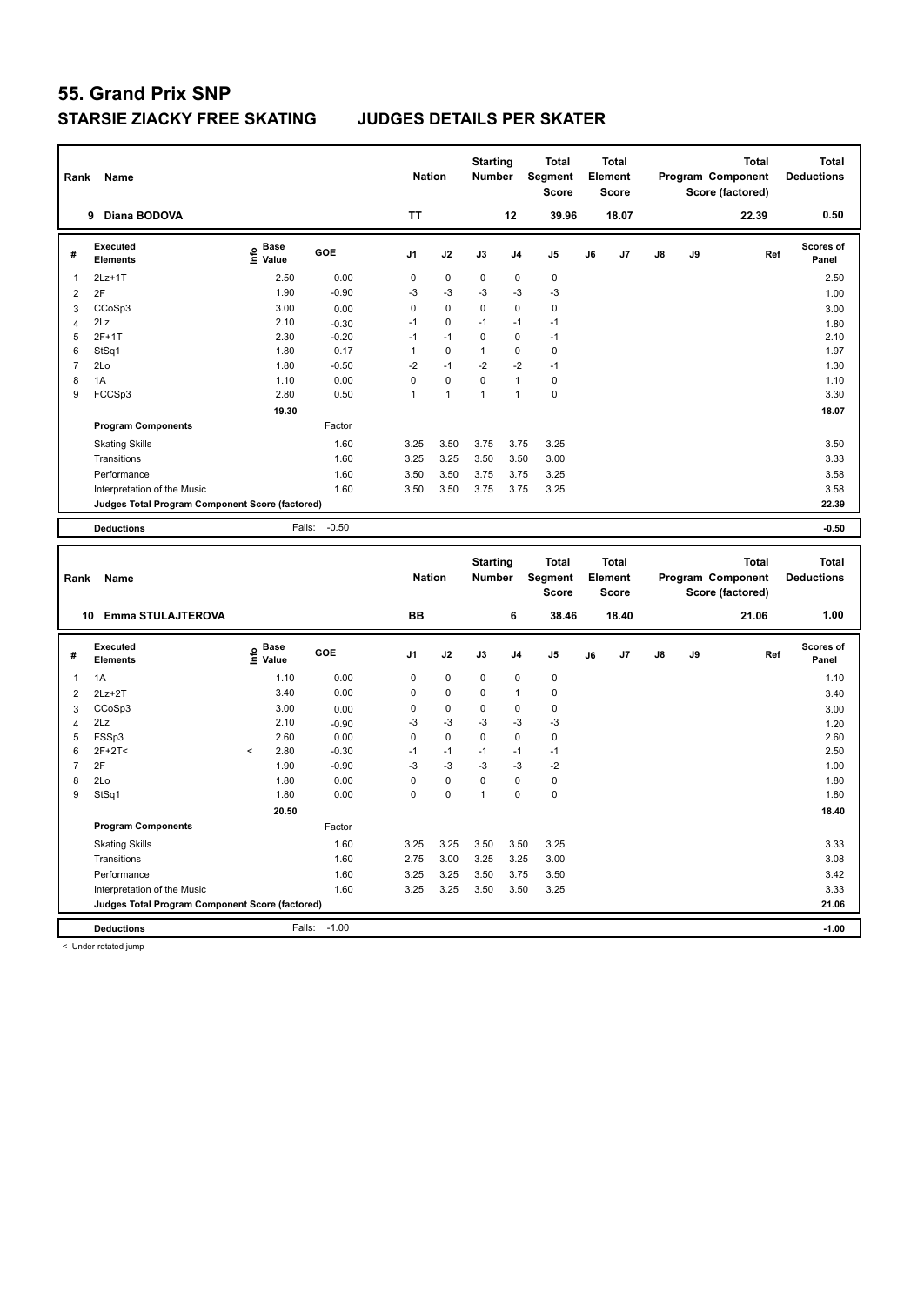| Rank                | Name                                            |                                           |                 | <b>Nation</b>     |              | <b>Starting</b><br>Number |                | <b>Total</b><br>Segment<br><b>Score</b> |    | <b>Total</b><br>Element<br><b>Score</b> |    |    | <b>Total</b><br>Program Component<br>Score (factored) |     | <b>Total</b><br><b>Deductions</b> |
|---------------------|-------------------------------------------------|-------------------------------------------|-----------------|-------------------|--------------|---------------------------|----------------|-----------------------------------------|----|-----------------------------------------|----|----|-------------------------------------------------------|-----|-----------------------------------|
|                     | 9 Diana BODOVA                                  |                                           |                 | <b>TT</b>         |              |                           | 12             | 39.96                                   |    | 18.07                                   |    |    | 22.39                                                 |     | 0.50                              |
| #                   | <b>Executed</b><br><b>Elements</b>              | $\frac{e}{E}$ Base<br>$\frac{E}{E}$ Value | GOE             | J1                | J2           | J3                        | J <sub>4</sub> | J <sub>5</sub>                          | J6 | J7                                      | J8 | J9 |                                                       | Ref | <b>Scores of</b><br>Panel         |
| $\mathbf{1}$        | $2Lz+1T$                                        | 2.50                                      | 0.00            | $\mathbf 0$       | $\pmb{0}$    | 0                         | $\pmb{0}$      | $\pmb{0}$                               |    |                                         |    |    |                                                       |     | 2.50                              |
| $\sqrt{2}$          | 2F                                              | 1.90                                      | $-0.90$         | $-3$              | $-3$         | $-3$                      | $-3$           | $-3$                                    |    |                                         |    |    |                                                       |     | 1.00                              |
| 3                   | CCoSp3                                          | 3.00                                      | 0.00            | $\mathbf 0$       | 0            | 0                         | $\mathbf 0$    | $\mathbf 0$                             |    |                                         |    |    |                                                       |     | 3.00                              |
| $\overline{4}$      | 2Lz                                             | 2.10                                      | $-0.30$         | $-1$              | 0            | $-1$                      | $-1$           | $-1$                                    |    |                                         |    |    |                                                       |     | 1.80                              |
| 5                   | $2F+1T$                                         | 2.30                                      | $-0.20$         | $-1$              | $-1$         | 0                         | 0              | $-1$                                    |    |                                         |    |    |                                                       |     | 2.10                              |
| 6                   | StSq1                                           | 1.80                                      | 0.17            | $\mathbf{1}$      | $\mathbf 0$  | $\mathbf{1}$              | $\mathbf 0$    | $\mathbf 0$                             |    |                                         |    |    |                                                       |     | 1.97                              |
| $\overline{7}$      | 2Lo                                             | 1.80                                      | $-0.50$         | $-2$              | $-1$         | $-2$                      | $-2$           | $-1$                                    |    |                                         |    |    |                                                       |     | 1.30                              |
| 8                   | 1A                                              | 1.10                                      | 0.00            | $\mathbf 0$       | $\mathbf 0$  | 0                         | $\mathbf{1}$   | $\mathbf 0$                             |    |                                         |    |    |                                                       |     | 1.10                              |
| 9                   | FCCSp3                                          | 2.80                                      | 0.50            | $\mathbf{1}$      | $\mathbf{1}$ | $\mathbf{1}$              | $\mathbf{1}$   | $\mathbf 0$                             |    |                                         |    |    |                                                       |     | 3.30                              |
|                     |                                                 | 19.30                                     |                 |                   |              |                           |                |                                         |    |                                         |    |    |                                                       |     | 18.07                             |
|                     | <b>Program Components</b>                       |                                           | Factor          |                   |              |                           |                |                                         |    |                                         |    |    |                                                       |     |                                   |
|                     | <b>Skating Skills</b>                           |                                           | 1.60            | 3.25              | 3.50         | 3.75                      | 3.75           | 3.25                                    |    |                                         |    |    |                                                       |     | 3.50                              |
|                     | Transitions                                     |                                           | 1.60            | 3.25              | 3.25         | 3.50                      | 3.50           | 3.00                                    |    |                                         |    |    |                                                       |     | 3.33                              |
|                     | Performance                                     |                                           | 1.60            | 3.50              | 3.50         | 3.75                      | 3.75           | 3.25                                    |    |                                         |    |    |                                                       |     | 3.58                              |
|                     | Interpretation of the Music                     |                                           | 1.60            | 3.50              | 3.50         | 3.75                      | 3.75           | 3.25                                    |    |                                         |    |    |                                                       |     | 3.58                              |
|                     | Judges Total Program Component Score (factored) |                                           |                 |                   |              |                           |                |                                         |    |                                         |    |    |                                                       |     | 22.39                             |
|                     | <b>Deductions</b>                               | Falls:                                    | $-0.50$         |                   |              |                           |                |                                         |    |                                         |    |    |                                                       |     | $-0.50$                           |
|                     |                                                 |                                           |                 |                   |              |                           |                |                                         |    |                                         |    |    |                                                       |     |                                   |
|                     |                                                 |                                           |                 |                   |              |                           |                |                                         |    |                                         |    |    |                                                       |     |                                   |
| Rank                | Name                                            |                                           |                 | <b>Nation</b>     |              | <b>Starting</b><br>Number |                | <b>Total</b><br>Segment<br><b>Score</b> |    | <b>Total</b><br>Element<br><b>Score</b> |    |    | <b>Total</b><br>Program Component<br>Score (factored) |     | <b>Total</b><br><b>Deductions</b> |
|                     | 10 Emma STULAJTEROVA                            |                                           |                 | <b>BB</b>         |              |                           | 6              | 38.46                                   |    | 18.40                                   |    |    | 21.06                                                 |     | 1.00                              |
| #                   | <b>Executed</b><br><b>Elements</b>              | e Base<br>E Value                         | <b>GOE</b>      | J1                | J2           | J3                        | J4             | J <sub>5</sub>                          | J6 | J7                                      | J8 | J9 |                                                       | Ref | Scores of<br>Panel                |
|                     |                                                 |                                           |                 |                   |              |                           |                |                                         |    |                                         |    |    |                                                       |     |                                   |
| $\mathbf{1}$        | 1A                                              | 1.10                                      | 0.00            | 0                 | 0            | 0                         | $\mathbf 0$    | $\mathbf 0$                             |    |                                         |    |    |                                                       |     | 1.10                              |
| $\overline{2}$      | $2Lz+2T$                                        | 3.40                                      | 0.00            | $\mathbf 0$       | $\mathbf 0$  | 0                         | $\mathbf{1}$   | $\pmb{0}$                               |    |                                         |    |    |                                                       |     | 3.40                              |
| 3                   | CCoSp3                                          | 3.00<br>2.10                              | 0.00            | $\mathbf 0$<br>-3 | 0<br>$-3$    | 0<br>-3                   | 0<br>$-3$      | $\pmb{0}$<br>$-3$                       |    |                                         |    |    |                                                       |     | 3.00                              |
| $\overline{4}$<br>5 | 2Lz<br>FSSp3                                    | 2.60                                      | $-0.90$<br>0.00 | $\mathbf 0$       | 0            | 0                         | $\pmb{0}$      | $\pmb{0}$                               |    |                                         |    |    |                                                       |     | 1.20<br>2.60                      |
| 6                   | $2F+2T<$                                        | 2.80<br>$\,<$                             | $-0.30$         | $-1$              | $-1$         | $-1$                      | $-1$           | $-1$                                    |    |                                         |    |    |                                                       |     | 2.50                              |
| $\overline{7}$      | 2F                                              | 1.90                                      | $-0.90$         | -3                | $-3$         | $-3$                      | $-3$           | $-2$                                    |    |                                         |    |    |                                                       |     | 1.00                              |
| 8                   | 2Lo                                             | 1.80                                      | 0.00            | $\mathbf 0$       | $\pmb{0}$    | 0                         | $\mathbf 0$    | $\pmb{0}$                               |    |                                         |    |    |                                                       |     | 1.80                              |
| 9                   | StSq1                                           | 1.80                                      | 0.00            | $\mathbf 0$       | 0            | $\mathbf{1}$              | $\mathbf 0$    | $\mathbf 0$                             |    |                                         |    |    |                                                       |     | 1.80                              |
|                     |                                                 | 20.50                                     |                 |                   |              |                           |                |                                         |    |                                         |    |    |                                                       |     | 18.40                             |
|                     | <b>Program Components</b>                       |                                           | Factor          |                   |              |                           |                |                                         |    |                                         |    |    |                                                       |     |                                   |
|                     | <b>Skating Skills</b>                           |                                           | 1.60            | 3.25              | 3.25         | 3.50                      | 3.50           | 3.25                                    |    |                                         |    |    |                                                       |     | 3.33                              |
|                     | Transitions                                     |                                           | 1.60            | 2.75              | 3.00         | 3.25                      | 3.25           | 3.00                                    |    |                                         |    |    |                                                       |     | 3.08                              |
|                     | Performance                                     |                                           | 1.60            | 3.25              | 3.25         | 3.50                      | 3.75           | 3.50                                    |    |                                         |    |    |                                                       |     | 3.42                              |
|                     | Interpretation of the Music                     |                                           | 1.60            | 3.25              | 3.25         | 3.50                      | 3.50           | 3.25                                    |    |                                         |    |    |                                                       |     | 3.33                              |
|                     | Judges Total Program Component Score (factored) |                                           |                 |                   |              |                           |                |                                         |    |                                         |    |    |                                                       |     | 21.06                             |

< Under-rotated jump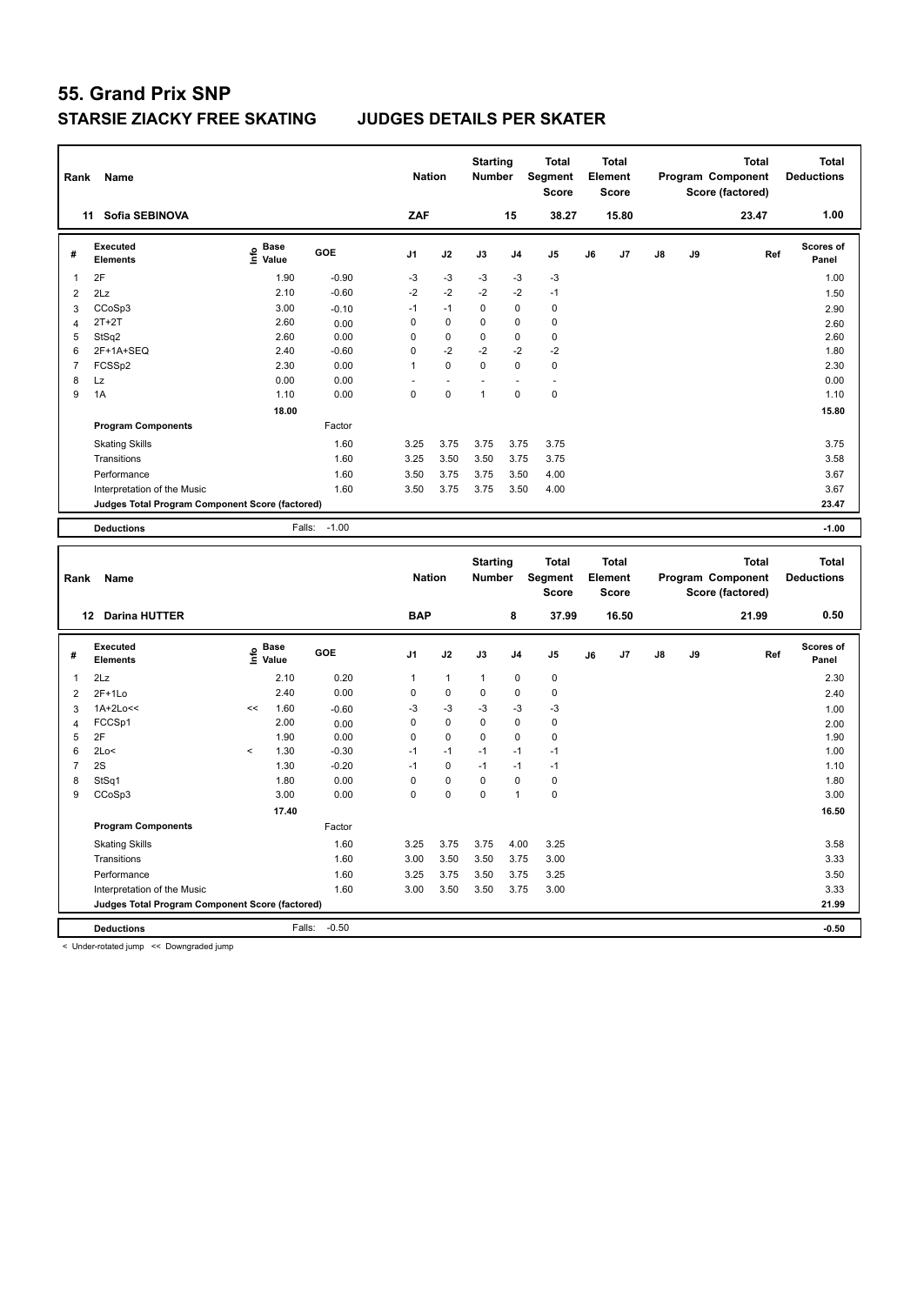| Rank                | Name                                                   |                    |              | <b>Nation</b>     |                   | <b>Starting</b><br><b>Number</b> |                   | <b>Total</b><br><b>Segment</b><br><b>Score</b> |    | <b>Total</b><br>Element<br><b>Score</b> |    |    | <b>Total</b><br>Program Component<br>Score (factored) | <b>Total</b><br><b>Deductions</b> |
|---------------------|--------------------------------------------------------|--------------------|--------------|-------------------|-------------------|----------------------------------|-------------------|------------------------------------------------|----|-----------------------------------------|----|----|-------------------------------------------------------|-----------------------------------|
|                     | 11 Sofia SEBINOVA                                      |                    |              | ZAF               |                   |                                  | 15                | 38.27                                          |    | 15.80                                   |    |    | 23.47                                                 | 1.00                              |
| #                   | <b>Executed</b><br><b>Elements</b>                     | $\frac{6}{5}$ Base | GOE          | J <sub>1</sub>    | J2                | J3                               | J <sub>4</sub>    | J5                                             | J6 | J7                                      | J8 | J9 | Ref                                                   | <b>Scores of</b><br>Panel         |
| $\mathbf{1}$        | 2F                                                     | 1.90               | $-0.90$      | $-3$              | $-3$              | $-3$                             | $-3$              | $-3$                                           |    |                                         |    |    |                                                       | 1.00                              |
| $\overline{2}$      | 2Lz                                                    | 2.10               | $-0.60$      | $-2$              | $-2$              | $-2$                             | $-2$              | $-1$                                           |    |                                         |    |    |                                                       | 1.50                              |
| 3                   | CCoSp3                                                 | 3.00               | $-0.10$      | $-1$              | $-1$              | $\Omega$                         | $\Omega$          | $\mathbf 0$                                    |    |                                         |    |    |                                                       | 2.90                              |
| $\overline{4}$      | $2T+2T$                                                | 2.60               | 0.00         | $\pmb{0}$         | 0                 | 0                                | 0                 | $\mathbf 0$                                    |    |                                         |    |    |                                                       | 2.60                              |
| 5                   | StSq2                                                  | 2.60               | 0.00         | $\mathbf 0$       | 0                 | 0                                | 0                 | $\pmb{0}$                                      |    |                                         |    |    |                                                       | 2.60                              |
| 6                   | 2F+1A+SEQ                                              | 2.40               | $-0.60$      | $\mathbf 0$       | $-2$              | $-2$                             | $-2$              | $-2$                                           |    |                                         |    |    |                                                       | 1.80                              |
| $\overline{7}$      | FCSSp2                                                 | 2.30               | 0.00         | $\mathbf{1}$      | $\mathbf 0$       | 0                                | $\mathbf 0$       | $\pmb{0}$                                      |    |                                         |    |    |                                                       | 2.30                              |
| 8                   | Lz                                                     | 0.00               | 0.00         |                   | $\blacksquare$    |                                  |                   | ä,                                             |    |                                         |    |    |                                                       | 0.00                              |
| 9                   | 1A                                                     | 1.10               | 0.00         | $\mathbf 0$       | $\mathbf 0$       | $\mathbf{1}$                     | $\mathbf 0$       | $\mathbf 0$                                    |    |                                         |    |    |                                                       | 1.10                              |
|                     |                                                        | 18.00              |              |                   |                   |                                  |                   |                                                |    |                                         |    |    |                                                       | 15.80                             |
|                     | <b>Program Components</b>                              |                    | Factor       |                   |                   |                                  |                   |                                                |    |                                         |    |    |                                                       |                                   |
|                     | <b>Skating Skills</b>                                  |                    | 1.60         | 3.25              | 3.75              | 3.75                             | 3.75              | 3.75                                           |    |                                         |    |    |                                                       | 3.75                              |
|                     | Transitions                                            |                    | 1.60         | 3.25              | 3.50              | 3.50                             | 3.75              | 3.75                                           |    |                                         |    |    |                                                       | 3.58                              |
|                     | Performance                                            |                    | 1.60         | 3.50              | 3.75              | 3.75                             | 3.50              | 4.00                                           |    |                                         |    |    |                                                       | 3.67                              |
|                     | Interpretation of the Music                            |                    | 1.60         | 3.50              | 3.75              | 3.75                             | 3.50              | 4.00                                           |    |                                         |    |    |                                                       | 3.67                              |
|                     | <b>Judges Total Program Component Score (factored)</b> |                    |              |                   |                   |                                  |                   |                                                |    |                                         |    |    |                                                       | 23.47                             |
|                     | <b>Deductions</b>                                      | Falls:             | $-1.00$      |                   |                   |                                  |                   |                                                |    |                                         |    |    |                                                       | $-1.00$                           |
|                     |                                                        |                    |              |                   |                   |                                  |                   |                                                |    |                                         |    |    |                                                       |                                   |
|                     |                                                        |                    |              |                   |                   |                                  |                   |                                                |    |                                         |    |    |                                                       |                                   |
| Rank                | Name                                                   |                    |              | <b>Nation</b>     |                   | <b>Starting</b><br><b>Number</b> |                   | <b>Total</b><br>Segment<br><b>Score</b>        |    | <b>Total</b><br>Element<br><b>Score</b> |    |    | <b>Total</b><br>Program Component<br>Score (factored) | <b>Total</b><br><b>Deductions</b> |
|                     | 12 Darina HUTTER                                       |                    |              | <b>BAP</b>        |                   |                                  | 8                 | 37.99                                          |    | 16.50                                   |    |    | 21.99                                                 | 0.50                              |
| #                   | <b>Executed</b><br><b>Elements</b>                     | e Base<br>E Value  | GOE          | J <sub>1</sub>    | J2                | J3                               | J <sub>4</sub>    | J <sub>5</sub>                                 | J6 | J7                                      | J8 | J9 | Ref                                                   | <b>Scores of</b><br>Panel         |
|                     |                                                        |                    |              |                   |                   |                                  |                   |                                                |    |                                         |    |    |                                                       |                                   |
| $\mathbf{1}$        | 2Lz                                                    | 2.10               | 0.20         | 1                 | $\mathbf{1}$      | 1                                | 0                 | $\mathbf 0$                                    |    |                                         |    |    |                                                       | 2.30                              |
| $\overline{2}$      | $2F+1Lo$                                               | 2.40<br><<         | 0.00         | $\mathbf 0$       | $\mathbf 0$       | 0                                | $\mathbf 0$       | $\pmb{0}$                                      |    |                                         |    |    |                                                       | 2.40                              |
| 3                   | 1A+2Lo<<                                               | 1.60               | $-0.60$      | -3<br>$\mathbf 0$ | $-3$<br>$\pmb{0}$ | $-3$<br>0                        | $-3$<br>$\pmb{0}$ | $-3$                                           |    |                                         |    |    |                                                       | 1.00                              |
| $\overline{4}$<br>5 | FCCSp1<br>2F                                           | 2.00<br>1.90       | 0.00<br>0.00 | $\mathbf 0$       | 0                 | 0                                | $\mathbf 0$       | $\pmb{0}$<br>$\mathbf 0$                       |    |                                         |    |    |                                                       | 2.00<br>1.90                      |
| 6                   | 2Lo<                                                   | 1.30<br>$\,<$      | $-0.30$      | $-1$              | $-1$              | $-1$                             | $-1$              | $-1$                                           |    |                                         |    |    |                                                       | 1.00                              |
| $\overline{7}$      | 2S                                                     | 1.30               | $-0.20$      | $-1$              | $\pmb{0}$         | $-1$                             | $-1$              | $-1$                                           |    |                                         |    |    |                                                       | 1.10                              |
| 8                   | StSq1                                                  | 1.80               | 0.00         | $\mathbf 0$       | $\pmb{0}$         | 0                                | $\pmb{0}$         | $\pmb{0}$                                      |    |                                         |    |    |                                                       | 1.80                              |
| 9                   | CCoSp3                                                 | 3.00               | 0.00         | $\mathbf 0$       | $\mathbf 0$       | 0                                | $\mathbf{1}$      | $\mathbf 0$                                    |    |                                         |    |    |                                                       | 3.00                              |
|                     |                                                        | 17.40              |              |                   |                   |                                  |                   |                                                |    |                                         |    |    |                                                       | 16.50                             |
|                     | <b>Program Components</b>                              |                    | Factor       |                   |                   |                                  |                   |                                                |    |                                         |    |    |                                                       |                                   |
|                     | <b>Skating Skills</b>                                  |                    | 1.60         | 3.25              | 3.75              | 3.75                             | 4.00              | 3.25                                           |    |                                         |    |    |                                                       | 3.58                              |
|                     | Transitions                                            |                    | 1.60         | 3.00              | 3.50              | 3.50                             | 3.75              | 3.00                                           |    |                                         |    |    |                                                       | 3.33                              |
|                     | Performance                                            |                    | 1.60         | 3.25              | 3.75              | 3.50                             | 3.75              | 3.25                                           |    |                                         |    |    |                                                       | 3.50                              |
|                     | Interpretation of the Music                            |                    | 1.60         | 3.00              | 3.50              | 3.50                             | 3.75              | 3.00                                           |    |                                         |    |    |                                                       | 3.33                              |
|                     | Judges Total Program Component Score (factored)        |                    |              |                   |                   |                                  |                   |                                                |    |                                         |    |    |                                                       | 21.99                             |
|                     | <b>Deductions</b>                                      | Falls:             | $-0.50$      |                   |                   |                                  |                   |                                                |    |                                         |    |    |                                                       | $-0.50$                           |

< Under-rotated jump << Downgraded jump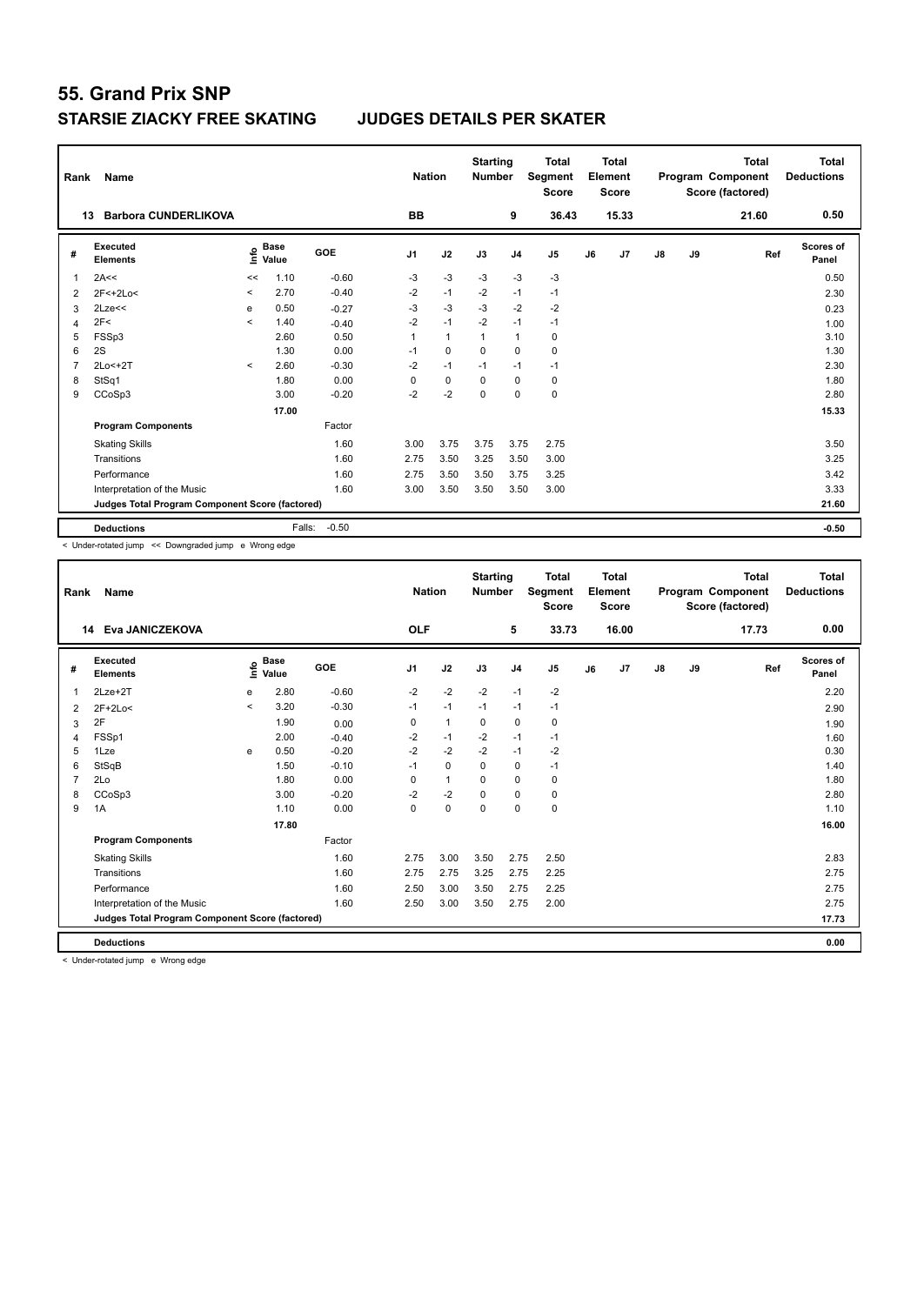| Rank           | Name                                            |         |                      |         | <b>Nation</b>  |                | <b>Starting</b><br><b>Number</b> |                | <b>Total</b><br>Segment<br><b>Score</b> |    | <b>Total</b><br>Element<br><b>Score</b> |               |    | <b>Total</b><br>Program Component<br>Score (factored) | <b>Total</b><br><b>Deductions</b> |
|----------------|-------------------------------------------------|---------|----------------------|---------|----------------|----------------|----------------------------------|----------------|-----------------------------------------|----|-----------------------------------------|---------------|----|-------------------------------------------------------|-----------------------------------|
|                | <b>Barbora CUNDERLIKOVA</b><br>13               |         |                      |         | <b>BB</b>      |                |                                  | 9              | 36.43                                   |    | 15.33                                   |               |    | 21.60                                                 | 0.50                              |
| #              | Executed<br><b>Elements</b>                     | lnfo    | <b>Base</b><br>Value | GOE     | J <sub>1</sub> | J2             | J3                               | J <sub>4</sub> | J <sub>5</sub>                          | J6 | J7                                      | $\mathsf{J}8$ | J9 | Ref                                                   | Scores of<br>Panel                |
| 1              | 2A<<                                            | <<      | 1.10                 | $-0.60$ | $-3$           | $-3$           | $-3$                             | $-3$           | $-3$                                    |    |                                         |               |    |                                                       | 0.50                              |
| 2              | 2F<+2Lo<                                        | $\,<$   | 2.70                 | $-0.40$ | $-2$           | $-1$           | $-2$                             | $-1$           | $-1$                                    |    |                                         |               |    |                                                       | 2.30                              |
| 3              | 2Lze<<                                          | e       | 0.50                 | $-0.27$ | $-3$           | $-3$           | $-3$                             | $-2$           | $-2$                                    |    |                                         |               |    |                                                       | 0.23                              |
| 4              | 2F<                                             | $\prec$ | 1.40                 | $-0.40$ | $-2$           | $-1$           | $-2$                             | $-1$           | $-1$                                    |    |                                         |               |    |                                                       | 1.00                              |
| 5              | FSSp3                                           |         | 2.60                 | 0.50    | 1              | $\overline{1}$ | $\overline{1}$                   | $\overline{1}$ | 0                                       |    |                                         |               |    |                                                       | 3.10                              |
| 6              | 2S                                              |         | 1.30                 | 0.00    | $-1$           | $\mathbf 0$    | 0                                | $\mathbf 0$    | $\mathbf 0$                             |    |                                         |               |    |                                                       | 1.30                              |
| $\overline{7}$ | 2Lo<+2T                                         | $\prec$ | 2.60                 | $-0.30$ | $-2$           | $-1$           | $-1$                             | $-1$           | $-1$                                    |    |                                         |               |    |                                                       | 2.30                              |
| 8              | StSq1                                           |         | 1.80                 | 0.00    | 0              | $\mathbf 0$    | 0                                | 0              | 0                                       |    |                                         |               |    |                                                       | 1.80                              |
| 9              | CCoSp3                                          |         | 3.00                 | $-0.20$ | $-2$           | $-2$           | $\Omega$                         | $\Omega$       | $\mathbf 0$                             |    |                                         |               |    |                                                       | 2.80                              |
|                |                                                 |         | 17.00                |         |                |                |                                  |                |                                         |    |                                         |               |    |                                                       | 15.33                             |
|                | <b>Program Components</b>                       |         |                      | Factor  |                |                |                                  |                |                                         |    |                                         |               |    |                                                       |                                   |
|                | <b>Skating Skills</b>                           |         |                      | 1.60    | 3.00           | 3.75           | 3.75                             | 3.75           | 2.75                                    |    |                                         |               |    |                                                       | 3.50                              |
|                | Transitions                                     |         |                      | 1.60    | 2.75           | 3.50           | 3.25                             | 3.50           | 3.00                                    |    |                                         |               |    |                                                       | 3.25                              |
|                | Performance                                     |         |                      | 1.60    | 2.75           | 3.50           | 3.50                             | 3.75           | 3.25                                    |    |                                         |               |    |                                                       | 3.42                              |
|                | Interpretation of the Music                     |         |                      | 1.60    | 3.00           | 3.50           | 3.50                             | 3.50           | 3.00                                    |    |                                         |               |    |                                                       | 3.33                              |
|                | Judges Total Program Component Score (factored) |         |                      |         |                |                |                                  |                |                                         |    |                                         |               |    |                                                       | 21.60                             |
|                | <b>Deductions</b>                               |         | Falls:               | $-0.50$ |                |                |                                  |                |                                         |    |                                         |               |    |                                                       | $-0.50$                           |

< Under-rotated jump << Downgraded jump e Wrong edge

| Rank | <b>Name</b>                                     |         |                      |         | <b>Nation</b>  |              | <b>Starting</b><br><b>Number</b> |                | <b>Total</b><br>Segment<br><b>Score</b> |    | <b>Total</b><br>Element<br>Score |               |    | <b>Total</b><br>Program Component<br>Score (factored) | <b>Total</b><br><b>Deductions</b> |
|------|-------------------------------------------------|---------|----------------------|---------|----------------|--------------|----------------------------------|----------------|-----------------------------------------|----|----------------------------------|---------------|----|-------------------------------------------------------|-----------------------------------|
|      | 14 Eva JANICZEKOVA                              |         |                      |         | <b>OLF</b>     |              |                                  | 5              | 33.73                                   |    | 16.00                            |               |    | 17.73                                                 | 0.00                              |
| #    | Executed<br><b>Elements</b>                     | lnfo    | <b>Base</b><br>Value | GOE     | J <sub>1</sub> | J2           | J3                               | J <sub>4</sub> | J <sub>5</sub>                          | J6 | J7                               | $\mathsf{J}8$ | J9 | Ref                                                   | <b>Scores of</b><br>Panel         |
| 1    | $2$ Lze $+2$ T                                  | e       | 2.80                 | $-0.60$ | $-2$           | $-2$         | $-2$                             | $-1$           | $-2$                                    |    |                                  |               |    |                                                       | 2.20                              |
| 2    | $2F+2Lo<$                                       | $\prec$ | 3.20                 | $-0.30$ | $-1$           | $-1$         | $-1$                             | $-1$           | $-1$                                    |    |                                  |               |    |                                                       | 2.90                              |
| 3    | 2F                                              |         | 1.90                 | 0.00    | 0              | $\mathbf{1}$ | 0                                | $\mathbf 0$    | $\mathbf 0$                             |    |                                  |               |    |                                                       | 1.90                              |
| 4    | FSSp1                                           |         | 2.00                 | $-0.40$ | $-2$           | $-1$         | $-2$                             | $-1$           | $-1$                                    |    |                                  |               |    |                                                       | 1.60                              |
| 5    | 1Lze                                            | e       | 0.50                 | $-0.20$ | $-2$           | $-2$         | $-2$                             | $-1$           | $-2$                                    |    |                                  |               |    |                                                       | 0.30                              |
| 6    | StSqB                                           |         | 1.50                 | $-0.10$ | $-1$           | $\Omega$     | $\Omega$                         | $\pmb{0}$      | $-1$                                    |    |                                  |               |    |                                                       | 1.40                              |
|      | 2Lo                                             |         | 1.80                 | 0.00    | 0              | $\mathbf{1}$ | $\Omega$                         | $\mathbf 0$    | $\mathbf 0$                             |    |                                  |               |    |                                                       | 1.80                              |
| 8    | CCoSp3                                          |         | 3.00                 | $-0.20$ | $-2$           | $-2$         | $\Omega$                         | $\mathbf 0$    | $\mathbf 0$                             |    |                                  |               |    |                                                       | 2.80                              |
| 9    | 1A                                              |         | 1.10                 | 0.00    | 0              | $\mathbf 0$  | $\mathbf 0$                      | $\mathbf 0$    | $\mathbf 0$                             |    |                                  |               |    |                                                       | 1.10                              |
|      |                                                 |         | 17.80                |         |                |              |                                  |                |                                         |    |                                  |               |    |                                                       | 16.00                             |
|      | <b>Program Components</b>                       |         |                      | Factor  |                |              |                                  |                |                                         |    |                                  |               |    |                                                       |                                   |
|      | <b>Skating Skills</b>                           |         |                      | 1.60    | 2.75           | 3.00         | 3.50                             | 2.75           | 2.50                                    |    |                                  |               |    |                                                       | 2.83                              |
|      | Transitions                                     |         |                      | 1.60    | 2.75           | 2.75         | 3.25                             | 2.75           | 2.25                                    |    |                                  |               |    |                                                       | 2.75                              |
|      | Performance                                     |         |                      | 1.60    | 2.50           | 3.00         | 3.50                             | 2.75           | 2.25                                    |    |                                  |               |    |                                                       | 2.75                              |
|      | Interpretation of the Music                     |         |                      | 1.60    | 2.50           | 3.00         | 3.50                             | 2.75           | 2.00                                    |    |                                  |               |    |                                                       | 2.75                              |
|      | Judges Total Program Component Score (factored) |         |                      |         |                |              |                                  |                |                                         |    |                                  |               |    |                                                       | 17.73                             |
|      | <b>Deductions</b>                               |         |                      |         |                |              |                                  |                |                                         |    |                                  |               |    |                                                       | 0.00                              |

< Under-rotated jump e Wrong edge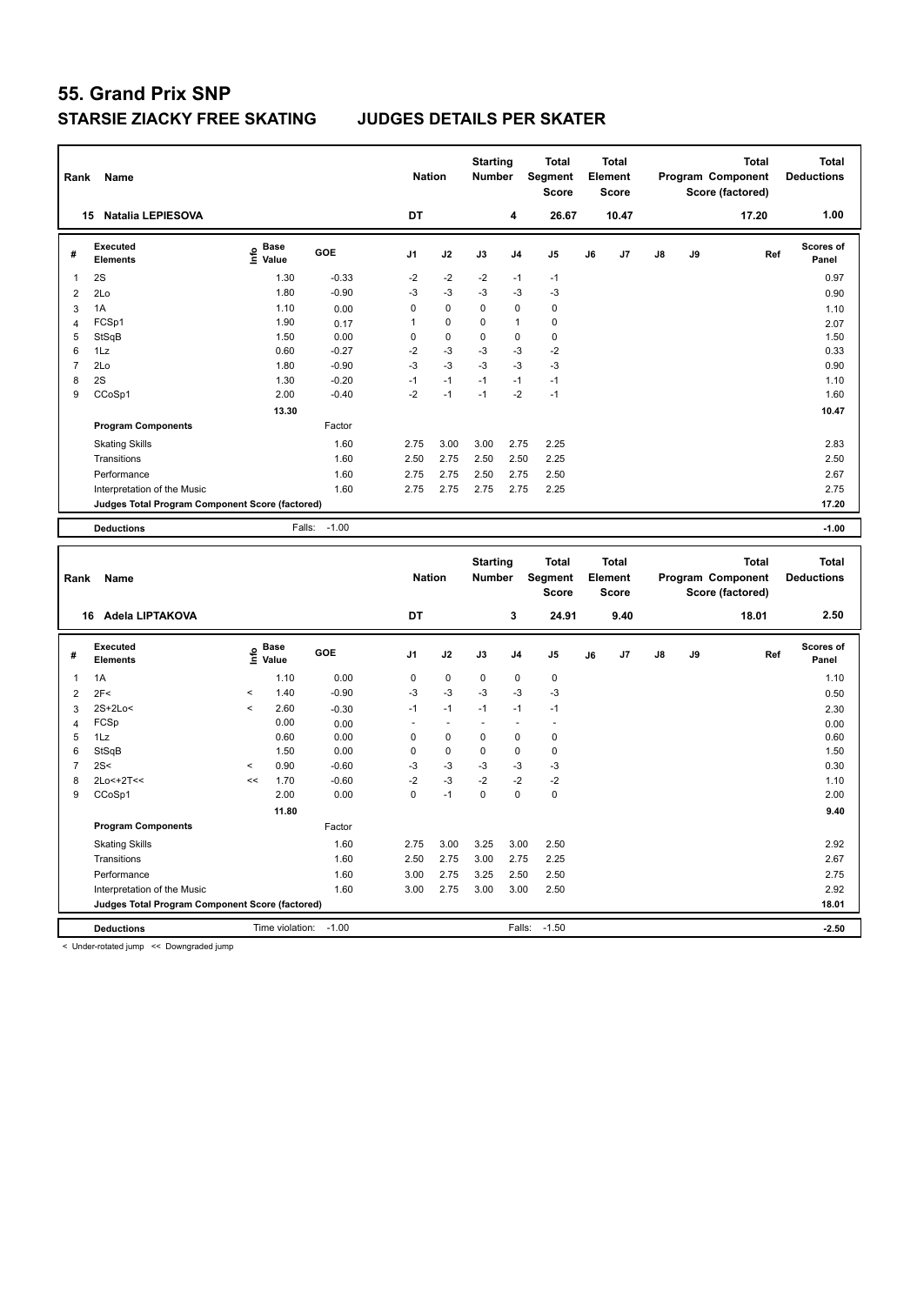| Rank                | Name                                            |                                           |                 |              | <b>Nation</b>  |                                  | <b>Starting</b><br><b>Number</b> |                | <b>Total</b><br>Segment<br><b>Score</b> |    | <b>Total</b><br>Element<br><b>Score</b> |    |    | <b>Total</b><br>Program Component<br>Score (factored) | <b>Total</b><br><b>Deductions</b> |
|---------------------|-------------------------------------------------|-------------------------------------------|-----------------|--------------|----------------|----------------------------------|----------------------------------|----------------|-----------------------------------------|----|-----------------------------------------|----|----|-------------------------------------------------------|-----------------------------------|
|                     | 15 Natalia LEPIESOVA                            |                                           |                 |              | <b>DT</b>      |                                  |                                  | 4              | 26.67                                   |    | 10.47                                   |    |    | 17.20                                                 | 1.00                              |
| #                   | <b>Executed</b><br><b>Elements</b>              | $\frac{e}{E}$ Base<br>$\frac{e}{E}$ Value |                 | GOE          | J <sub>1</sub> | J2                               | J3                               | J <sub>4</sub> | J5                                      | J6 | J7                                      | J8 | J9 | Ref                                                   | Scores of<br>Panel                |
| $\mathbf{1}$        | 2S                                              |                                           | 1.30            | $-0.33$      | $-2$           | $-2$                             | $-2$                             | $-1$           | $-1$                                    |    |                                         |    |    |                                                       | 0.97                              |
| $\overline{2}$      | 2Lo                                             |                                           | 1.80            | $-0.90$      | $-3$           | $-3$                             | $-3$                             | $-3$           | $-3$                                    |    |                                         |    |    |                                                       | 0.90                              |
| 3                   | 1A                                              |                                           | 1.10            | 0.00         | $\mathbf 0$    | $\pmb{0}$                        | 0                                | $\mathbf 0$    | $\mathbf 0$                             |    |                                         |    |    |                                                       | 1.10                              |
| $\overline{4}$      | FCSp1                                           |                                           | 1.90            | 0.17         | $\mathbf{1}$   | 0                                | 0                                | $\mathbf{1}$   | $\mathbf 0$                             |    |                                         |    |    |                                                       | 2.07                              |
| 5                   | StSqB                                           |                                           | 1.50            | 0.00         | $\mathbf 0$    | 0                                | 0                                | $\pmb{0}$      | $\pmb{0}$                               |    |                                         |    |    |                                                       | 1.50                              |
| 6                   | 1Lz                                             |                                           | 0.60            | $-0.27$      | $-2$           | $-3$                             | $-3$                             | $-3$           | $-2$                                    |    |                                         |    |    |                                                       | 0.33                              |
| $\overline{7}$      | 2Lo                                             |                                           | 1.80            | $-0.90$      | -3             | $-3$                             | $-3$                             | $-3$           | $-3$                                    |    |                                         |    |    |                                                       | 0.90                              |
| 8                   | 2S                                              |                                           | 1.30            | $-0.20$      | $-1$           | $-1$                             | $-1$                             | $-1$           | $-1$                                    |    |                                         |    |    |                                                       | 1.10                              |
| 9                   | CCoSp1                                          |                                           | 2.00            | $-0.40$      | $-2$           | $-1$                             | $-1$                             | $-2$           | $-1$                                    |    |                                         |    |    |                                                       | 1.60                              |
|                     |                                                 |                                           | 13.30           |              |                |                                  |                                  |                |                                         |    |                                         |    |    |                                                       | 10.47                             |
|                     | <b>Program Components</b>                       |                                           |                 | Factor       |                |                                  |                                  |                |                                         |    |                                         |    |    |                                                       |                                   |
|                     | <b>Skating Skills</b>                           |                                           |                 | 1.60         | 2.75           | 3.00                             | 3.00                             | 2.75           | 2.25                                    |    |                                         |    |    |                                                       | 2.83                              |
|                     | Transitions                                     |                                           |                 | 1.60         | 2.50           | 2.75                             | 2.50                             | 2.50           | 2.25                                    |    |                                         |    |    |                                                       | 2.50                              |
|                     | Performance                                     |                                           |                 | 1.60         | 2.75           | 2.75                             | 2.50                             | 2.75           | 2.50                                    |    |                                         |    |    |                                                       | 2.67                              |
|                     | Interpretation of the Music                     |                                           |                 | 1.60         | 2.75           | 2.75                             | 2.75                             | 2.75           | 2.25                                    |    |                                         |    |    |                                                       | 2.75                              |
|                     | Judges Total Program Component Score (factored) |                                           |                 |              |                |                                  |                                  |                |                                         |    |                                         |    |    |                                                       | 17.20                             |
|                     | <b>Deductions</b>                               |                                           | Falls:          | $-1.00$      |                |                                  |                                  |                |                                         |    |                                         |    |    |                                                       | $-1.00$                           |
|                     |                                                 |                                           |                 |              |                |                                  |                                  |                |                                         |    |                                         |    |    |                                                       |                                   |
|                     |                                                 |                                           |                 |              |                |                                  |                                  |                |                                         |    |                                         |    |    |                                                       |                                   |
| Rank                | Name                                            |                                           |                 |              | <b>Nation</b>  |                                  | <b>Starting</b><br><b>Number</b> |                | <b>Total</b><br>Segment<br><b>Score</b> |    | <b>Total</b><br>Element<br><b>Score</b> |    |    | <b>Total</b><br>Program Component<br>Score (factored) | <b>Total</b><br><b>Deductions</b> |
|                     | 16 Adela LIPTAKOVA                              |                                           |                 |              | DT             |                                  |                                  | 3              | 24.91                                   |    | 9.40                                    |    |    | 18.01                                                 | 2.50                              |
| #                   | <b>Executed</b><br><b>Elements</b>              | $\overset{\circ}{\text{E}}$ Value         |                 | GOE          | J1             | J2                               | J3                               | J <sub>4</sub> | J5                                      | J6 | J7                                      | J8 | J9 | Ref                                                   | Scores of<br>Panel                |
|                     |                                                 |                                           |                 |              |                |                                  |                                  |                |                                         |    |                                         |    |    |                                                       |                                   |
| $\mathbf{1}$        | 1A                                              |                                           | 1.10            | 0.00         | 0              | 0                                | 0                                | $\mathbf 0$    | $\mathbf 0$                             |    |                                         |    |    |                                                       | 1.10                              |
| $\overline{2}$      | 2F<                                             | $\,<$                                     | 1.40            | $-0.90$      | -3             | $-3$                             | $-3$                             | $-3$           | $-3$                                    |    |                                         |    |    |                                                       | 0.50                              |
| 3                   | 2S+2Lo<                                         | $\,<$                                     | 2.60            | $-0.30$      | $-1$<br>÷.     | $-1$<br>$\overline{\phantom{a}}$ | $-1$<br>÷.                       | $-1$<br>$\sim$ | $-1$<br>ä,                              |    |                                         |    |    |                                                       | 2.30                              |
| $\overline{4}$<br>5 | FCSp<br>1Lz                                     |                                           | 0.00<br>0.60    | 0.00<br>0.00 | $\mathbf 0$    | 0                                | 0                                | $\mathbf 0$    | $\mathbf 0$                             |    |                                         |    |    |                                                       | 0.00<br>0.60                      |
| 6                   | StSqB                                           |                                           | 1.50            | 0.00         | $\mathbf 0$    | 0                                | 0                                | $\mathbf 0$    | $\mathbf 0$                             |    |                                         |    |    |                                                       | 1.50                              |
| $\overline{7}$      | 2S<                                             | $\,<$                                     | 0.90            | $-0.60$      | $-3$           | $-3$                             | -3                               | $-3$           | $-3$                                    |    |                                         |    |    |                                                       | 0.30                              |
| 8                   | 2Lo<+2T<<                                       | $\prec$                                   | 1.70            | $-0.60$      | $-2$           | $-3$                             | $-2$                             | $-2$           | $-2$                                    |    |                                         |    |    |                                                       | 1.10                              |
| 9                   | CCoSp1                                          |                                           | 2.00            | 0.00         | $\mathbf 0$    | $-1$                             | 0                                | $\mathbf 0$    | $\pmb{0}$                               |    |                                         |    |    |                                                       | 2.00                              |
|                     |                                                 |                                           | 11.80           |              |                |                                  |                                  |                |                                         |    |                                         |    |    |                                                       | 9.40                              |
|                     | <b>Program Components</b>                       |                                           |                 | Factor       |                |                                  |                                  |                |                                         |    |                                         |    |    |                                                       |                                   |
|                     |                                                 |                                           |                 | 1.60         | 2.75           | 3.00                             | 3.25                             | 3.00           | 2.50                                    |    |                                         |    |    |                                                       | 2.92                              |
|                     | <b>Skating Skills</b><br>Transitions            |                                           |                 | 1.60         | 2.50           | 2.75                             | 3.00                             |                |                                         |    |                                         |    |    |                                                       | 2.67                              |
|                     | Performance                                     |                                           |                 |              |                |                                  | 3.25                             | 2.75           | 2.25                                    |    |                                         |    |    |                                                       | 2.75                              |
|                     | Interpretation of the Music                     |                                           |                 | 1.60<br>1.60 | 3.00<br>3.00   | 2.75<br>2.75                     | 3.00                             | 2.50<br>3.00   | 2.50<br>2.50                            |    |                                         |    |    |                                                       | 2.92                              |
|                     | Judges Total Program Component Score (factored) |                                           |                 |              |                |                                  |                                  |                |                                         |    |                                         |    |    |                                                       | 18.01                             |
|                     | <b>Deductions</b>                               |                                           | Time violation: | $-1.00$      |                |                                  |                                  | Falls:         | $-1.50$                                 |    |                                         |    |    |                                                       | $-2.50$                           |

< Under-rotated jump << Downgraded jump